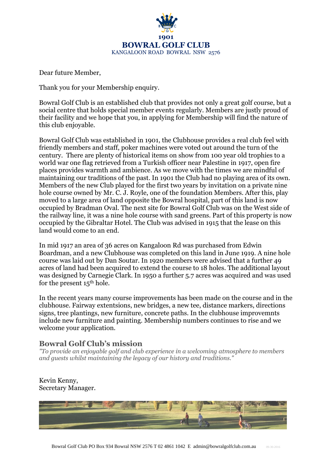

Dear future Member,

Thank you for your Membership enquiry.

Bowral Golf Club is an established club that provides not only a great golf course, but a social centre that holds special member events regularly. Members are justly proud of their facility and we hope that you, in applying for Membership will find the nature of this club enjoyable.

Bowral Golf Club was established in 1901, the Clubhouse provides a real club feel with friendly members and staff, poker machines were voted out around the turn of the century. There are plenty of historical items on show from 100 year old trophies to a world war one flag retrieved from a Turkish officer near Palestine in 1917, open fire places provides warmth and ambience. As we move with the times we are mindful of maintaining our traditions of the past. In 1901 the Club had no playing area of its own. Members of the new Club played for the first two years by invitation on a private nine hole course owned by Mr. C. J. Royle, one of the foundation Members. After this, play moved to a large area of land opposite the Bowral hospital, part of this land is now occupied by Bradman Oval. The next site for Bowral Golf Club was on the West side of the railway line, it was a nine hole course with sand greens. Part of this property is now occupied by the Gibraltar Hotel. The Club was advised in 1915 that the lease on this land would come to an end.

In mid 1917 an area of 36 acres on Kangaloon Rd was purchased from Edwin Boardman, and a new Clubhouse was completed on this land in June 1919. A nine hole course was laid out by Dan Soutar. In 1920 members were advised that a further 49 acres of land had been acquired to extend the course to 18 holes. The additional layout was designed by Carnegie Clark. In 1950 a further 5.7 acres was acquired and was used for the present 15th hole.

In the recent years many course improvements has been made on the course and in the clubhouse. Fairway extentsions, new bridges, a new tee, distance markers, directions signs, tree plantings, new furniture, concrete paths. In the clubhouse improvemnts include new furniture and painting. Membership numbers continues to rise and we welcome your application.

# **Bowral Golf Club's mission**

*"To provide an enjoyable golf and club experience in a welcoming atmosphere to members and guests whilst maintaining the legacy of our history and traditions."*

### Kevin Kenny, Secretary Manager.

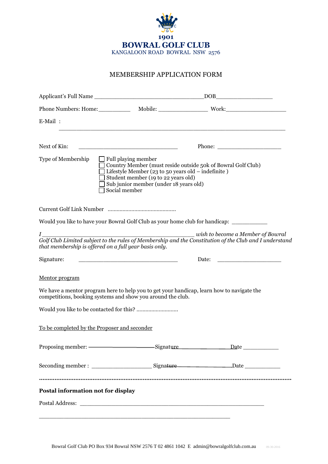

#### MEMBERSHIP APPLICATION FORM

| E-Mail:                                                              | <u> 1989 - Johann Stoff, amerikansk politiker (d. 1989)</u>                                                                                                                                                                                               |                                                                                                        |  |  |
|----------------------------------------------------------------------|-----------------------------------------------------------------------------------------------------------------------------------------------------------------------------------------------------------------------------------------------------------|--------------------------------------------------------------------------------------------------------|--|--|
| Next of Kin:                                                         | <u> 1990 - Johann Barbara, martxa alemaniar arg</u>                                                                                                                                                                                                       |                                                                                                        |  |  |
| Type of Membership                                                   | $\Box$ Full playing member<br>Country Member (must reside outside 50k of Bowral Golf Club)<br>$\Box$ Lifestyle Member (23 to 50 years old – indefinite)<br>Student member (19 to 22 years old)<br>Sub junior member (under 18 years old)<br>Social member |                                                                                                        |  |  |
|                                                                      |                                                                                                                                                                                                                                                           |                                                                                                        |  |  |
|                                                                      | Would you like to have your Bowral Golf Club as your home club for handicap: __________                                                                                                                                                                   |                                                                                                        |  |  |
| $I$ and $I$<br>that membership is offered on a full year basis only. |                                                                                                                                                                                                                                                           | Golf Club Limited subject to the rules of Membership and the Constitution of the Club and I understand |  |  |
| Signature:                                                           |                                                                                                                                                                                                                                                           |                                                                                                        |  |  |
| Mentor program                                                       |                                                                                                                                                                                                                                                           |                                                                                                        |  |  |
|                                                                      | We have a mentor program here to help you to get your handicap, learn how to navigate the<br>competitions, booking systems and show you around the club.                                                                                                  |                                                                                                        |  |  |
|                                                                      |                                                                                                                                                                                                                                                           |                                                                                                        |  |  |
| To be completed by the Proposer and seconder                         |                                                                                                                                                                                                                                                           |                                                                                                        |  |  |
|                                                                      |                                                                                                                                                                                                                                                           | Proposing member: ————————————————————Signature Date ____________________________                      |  |  |
|                                                                      |                                                                                                                                                                                                                                                           |                                                                                                        |  |  |
|                                                                      |                                                                                                                                                                                                                                                           |                                                                                                        |  |  |
| Postal information not for display                                   |                                                                                                                                                                                                                                                           |                                                                                                        |  |  |
|                                                                      |                                                                                                                                                                                                                                                           |                                                                                                        |  |  |
|                                                                      |                                                                                                                                                                                                                                                           |                                                                                                        |  |  |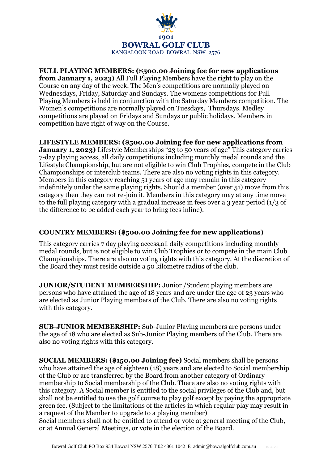

#### **FULL PLAYING MEMBERS: (\$500.00 Joining fee for new applications from January 1, 2023)** All Full Playing Members have the right to play on the Course on any day of the week. The Men's competitions are normally played on Wednesdays, Friday, Saturday and Sundays. The womens competitions for Full Playing Members is held in conjunction with the Saturday Members competition. The Women's competitions are normally played on Tuesdays, Thursdays. Medley competitions are played on Fridays and Sundays or public holidays. Members in competition have right of way on the Course.

## **LIFESTYLE MEMBERS: (\$500.00 Joining fee for new applications from**

**January 1, 2023)** Lifestyle Memberships "23 to 50 years of age" This category carries 7-day playing access, all daily competitions including monthly medal rounds and the Lifestyle Championship, but are not eligible to win Club Trophies, compete in the Club Championships or interclub teams. There are also no voting rights in this category. Members in this category reaching 51 years of age may remain in this category indefinitely under the same playing rights. Should a member (over 51) move from this category then they can not re-join it. Members in this category may at any time move to the full playing category with a gradual increase in fees over a 3 year period (1/3 of the difference to be added each year to bring fees inline).

### **COUNTRY MEMBERS: (\$500.00 Joining fee for new applications)**

This category carries 7 day playing access,all daily competitions including monthly medal rounds, but is not eligible to win Club Trophies or to compete in the main Club Championships. There are also no voting rights with this category. At the discretion of the Board they must reside outside a 50 kilometre radius of the club.

**JUNIOR/STUDENT MEMBERSHIP:** Junior /Student playing members are persons who have attained the age of 18 years and are under the age of 23 years who are elected as Junior Playing members of the Club. There are also no voting rights with this category.

**SUB-JUNIOR MEMBERSHIP:** Sub-Junior Playing members are persons under the age of 18 who are elected as Sub-Junior Playing members of the Club. There are also no voting rights with this category.

**SOCIAL MEMBERS: (\$150.00 Joining fee)** Social members shall be persons who have attained the age of eighteen (18) years and are elected to Social membership of the Club or are transferred by the Board from another category of Ordinary membership to Social membership of the Club. There are also no voting rights with this category. A Social member is entitled to the social privileges of the Club and, but shall not be entitled to use the golf course to play golf except by paying the appropriate green fee. (Subject to the limitations of the articles in which regular play may result in a request of the Member to upgrade to a playing member)

Social members shall not be entitled to attend or vote at general meeting of the Club, or at Annual General Meetings, or vote in the election of the Board.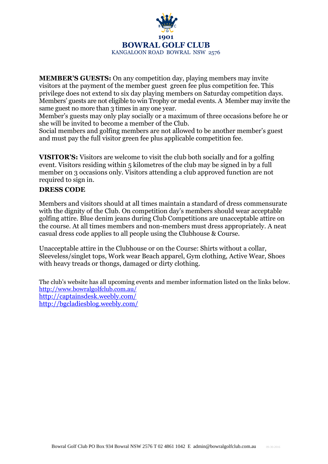

**MEMBER'S GUESTS:** On any competition day, playing members may invite visitors at the payment of the member guest green fee plus competition fee. This privilege does not extend to six day playing members on Saturday competition days. Members' guests are not eligible to win Trophy or medal events. A Member may invite the same guest no more than 3 times in any one year.

Member's guests may only play socially or a maximum of three occasions before he or she will be invited to become a member of the Club.

Social members and golfing members are not allowed to be another member's guest and must pay the full visitor green fee plus applicable competition fee.

**VISITOR'S:** Visitors are welcome to visit the club both socially and for a golfing event. Visitors residing within 5 kilometres of the club may be signed in by a full member on 3 occasions only. Visitors attending a club approved function are not required to sign in.

### **DRESS CODE**

Members and visitors should at all times maintain a standard of dress commensurate with the dignity of the Club. On competition day's members should wear acceptable golfing attire. Blue denim jeans during Club Competitions are unacceptable attire on the course. At all times members and non-members must dress appropriately. A neat casual dress code applies to all people using the Clubhouse & Course.

Unacceptable attire in the Clubhouse or on the Course: Shirts without a collar, Sleeveless/singlet tops, Work wear Beach apparel, Gym clothing, Active Wear, Shoes with heavy treads or thongs, damaged or dirty clothing.

The club's website has all upcoming events and member information listed on the links below. <http://www.bowralgolfclub.com.au/> <http://captainsdesk.weebly.com/> <http://bgcladiesblog.weebly.com/>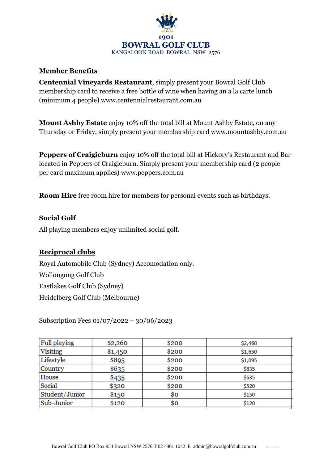

## **Member Benefits**

**Centennial Vineyards Restaurant**, simply present your Bowral Golf Club membership card to receive a free bottle of wine when having an a la carte lunch (minimum 4 people) [www.centennialrestaurant.com.au](http://www.centennialrestaurant.com.au/)

**Mount Ashby Estate** enjoy 10% off the total bill at Mount Ashby Estate, on any Thursday or Friday, simply present your membership card [www.mountashby.com.au](http://www.mountashby.com.au/)

**Peppers of Craigieburn** enjoy 10% off the total bill at Hickory's Restaurant and Bar located in Peppers of Craigieburn. Simply present your membership card (2 people per card maximum applies) www.peppers.com.au

**Room Hire** free room hire for members for personal events such as birthdays.

# **Social Golf**

All playing members enjoy unlimited social golf.

# **Reciprocal clubs**

Royal Automobile Club (Sydney) Accomodation only. Wollongong Golf Club Eastlakes Golf Club (Sydney) Heidelberg Golf Club (Melbourne)

Subscription Fees 01/07/2022 – 30/06/2023

| Full playing   | \$2,260 | \$200 | \$2,460 |
|----------------|---------|-------|---------|
| Visiting       | \$1,450 | \$200 | \$1,650 |
| Lifestyle      | \$895   | \$200 | \$1,095 |
| Country        | \$635   | \$200 | \$835   |
| House          | \$435   | \$200 | \$635   |
| Social         | \$320   | \$200 | \$520   |
| Student/Junior | \$150   | \$0   | \$150   |
| Sub-Junior     | \$120   | \$0   | \$120   |
|                |         |       |         |